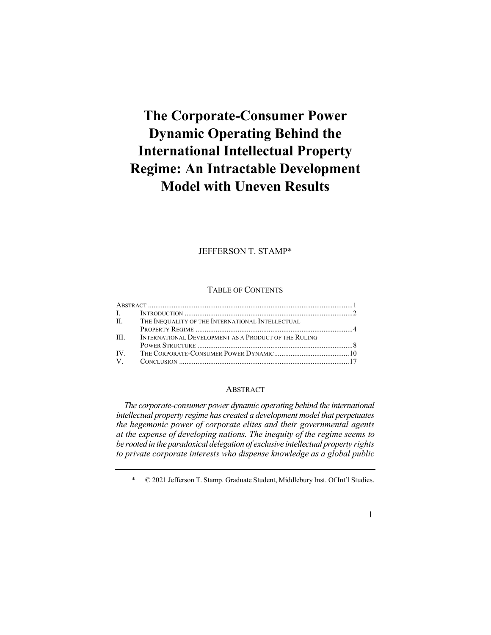# **The Corporate-Consumer Power Dynamic Operating Behind the International Intellectual Property Regime: An Intractable Development Model with Uneven Results**

#### JEFFERSON T. STAMP\*

#### TABLE OF CONTENTS

|  | II. THE INEQUALITY OF THE INTERNATIONAL INTELLECTUAL      |  |
|--|-----------------------------------------------------------|--|
|  |                                                           |  |
|  | III. INTERNATIONAL DEVELOPMENT AS A PRODUCT OF THE RULING |  |
|  |                                                           |  |
|  |                                                           |  |
|  |                                                           |  |

## ABSTRACT

 *The corporate-consumer power dynamic operating behind the international intellectual property regime has created a development model that perpetuates the hegemonic power of corporate elites and their governmental agents be rooted in the paradoxical delegation of exclusive intellectual property rights at the expense of developing nations. The inequity of the regime seems to to private corporate interests who dispense knowledge as a global public* 

#### 1

 \* © 2021 Jefferson T. Stamp. Graduate Student, Middlebury Inst. Of Int'l Studies.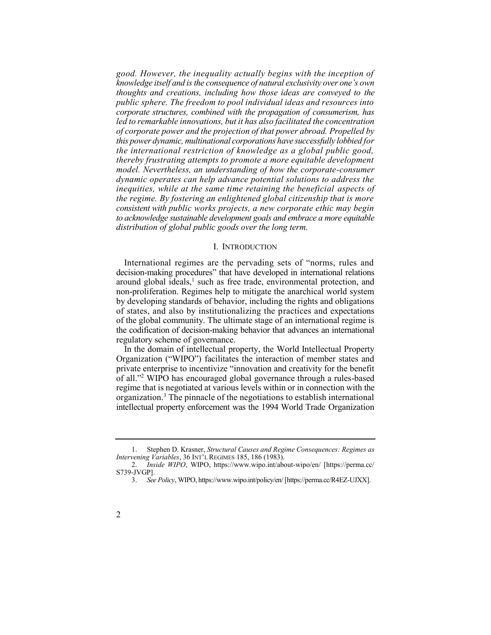*good. However, the inequality actually begins with the inception of knowledge itself and is the consequence of natural exclusivity over one's own thoughts and creations, including how those ideas are conveyed to the public sphere. The freedom to pool individual ideas and resources into corporate structures, combined with the propagation of consumerism, has led to remarkable innovations, but it has also facilitated the concentration of corporate power and the projection of that power abroad. Propelled by this power dynamic, multinational corporations have successfully lobbied for the international restriction of knowledge as a global public good, model. Nevertheless, an understanding of how the corporate-consumer dynamic operates can help advance potential solutions to address the inequities, while at the same time retaining the beneficial aspects of consistent with public works projects, a new corporate ethic may begin to acknowledge sustainable development goals and embrace a more equitable thereby frustrating attempts to promote a more equitable development the regime. By fostering an enlightened global citizenship that is more distribution of global public goods over the long term.* 

#### I. INTRODUCTION

 International regimes are the pervading sets of "norms, rules and decision-making procedures" that have developed in international relations around global ideals, $<sup>1</sup>$  such as free trade, environmental protection, and</sup> non-proliferation. Regimes help to mitigate the anarchical world system by developing standards of behavior, including the rights and obligations of states, and also by institutionalizing the practices and expectations of the global community. The ultimate stage of an international regime is the codification of decision-making behavior that advances an international regulatory scheme of governance.

 In the domain of intellectual property, the World Intellectual Property Organization ("WIPO") facilitates the interaction of member states and of all."2 WIPO has encouraged global governance through a rules-based organization.<sup>3</sup> The pinnacle of the negotiations to establish international private enterprise to incentivize "innovation and creativity for the benefit regime that is negotiated at various levels within or in connection with the intellectual property enforcement was the 1994 World Trade Organization

 1. Stephen D. Krasner, *Structural Causes and Regime Consequences: Regimes as Intervening Variables*, 36 INT'L REGIMES 185, 186 (1983).

<sup>2.</sup> *Inside WIPO*, WIPO, [https://www.wipo.int/about-wipo/en/](https://www.wipo.int/about-wipo/en) [<https://perma.cc>/ S739-JVGP].

 3. *See Policy*, WIPO, [https://www.wipo.int/policy/en/](https://www.wipo.int/policy/en) [[https://perma.cc/R4EZ-UJXX\]](https://perma.cc/R4EZ-UJXX).

<sup>2</sup>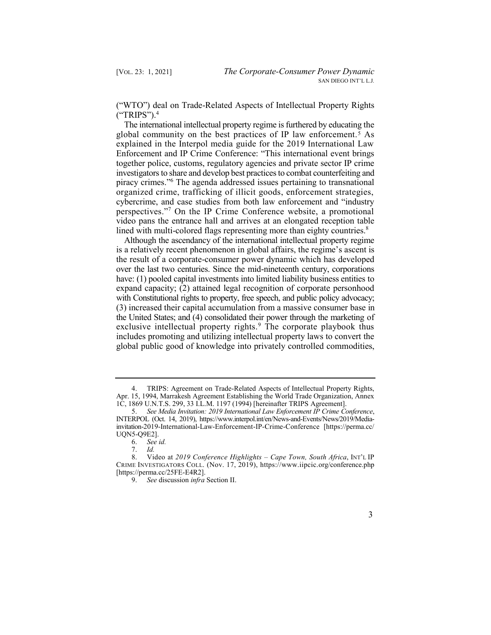("WTO") deal on Trade-Related Aspects of Intellectual Property Rights ("TRIPS").<sup>4</sup>

 global community on the best practices of IP law enforcement.5 As piracy crimes."6 The agenda addressed issues pertaining to transnational perspectives."7 On the IP Crime Conference website, a promotional The international intellectual property regime is furthered by educating the explained in the Interpol media guide for the 2019 International Law Enforcement and IP Crime Conference: "This international event brings together police, customs, regulatory agencies and private sector IP crime investigators to share and develop best practices to combat counterfeiting and organized crime, trafficking of illicit goods, enforcement strategies, cybercrime, and case studies from both law enforcement and "industry video pans the entrance hall and arrives at an elongated reception table lined with multi-colored flags representing more than eighty countries. $8$ 

 Although the ascendancy of the international intellectual property regime is a relatively recent phenomenon in global affairs, the regime's ascent is the result of a corporate-consumer power dynamic which has developed over the last two centuries. Since the mid-nineteenth century, corporations have: (1) pooled capital investments into limited liability business entities to expand capacity; (2) attained legal recognition of corporate personhood with Constitutional rights to property, free speech, and public policy advocacy; exclusive intellectual property rights.<sup>9</sup> The corporate playbook thus (3) increased their capital accumulation from a massive consumer base in the United States; and (4) consolidated their power through the marketing of includes promoting and utilizing intellectual property laws to convert the global public good of knowledge into privately controlled commodities,



 4. TRIPS: Agreement on Trade-Related Aspects of Intellectual Property Rights, Apr. 15, 1994, Marrakesh Agreement Establishing the World Trade Organization, Annex 1C, 1869 U.N.T.S. 299, 33 I.L.M. 1197 (1994) [hereinafter TRIPS Agreement].

 5. *See Media Invitation: 2019 International Law Enforcement IP Crime Conference*, INTERPOL (Oct. 14, 2019), <https://www.interpol.int/en/News-and-Events/News/2019/Media>invitation-2019-International-Law-Enforcement-IP-Crime-Conference [<https://perma.cc>/ UQN5-Q9E2].

<sup>6.</sup> *See id.* 

<sup>7.</sup> *Id.* 

 8. Video at *2019 Conference Highlights – Cape Town, South Africa*, INT'L IP CRIME INVESTIGATORS COLL. (Nov. 17, 2019), <https://www.iipcic.org/conference.php> [<https://perma.cc/25FE-E4R2>].

<sup>9.</sup> *See* discussion *infra* Section II.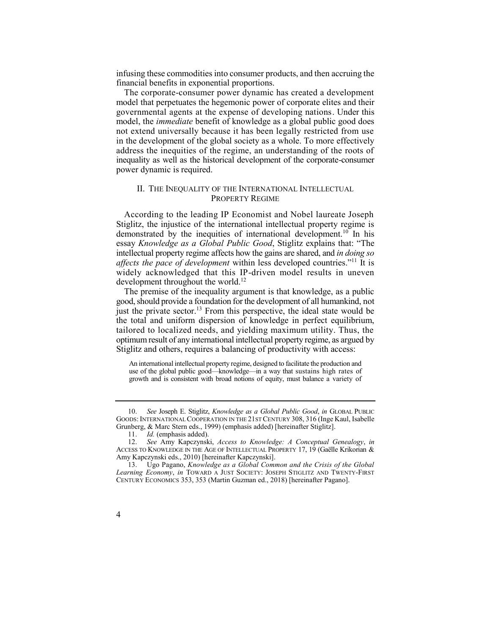infusing these commodities into consumer products, and then accruing the financial benefits in exponential proportions.

 The corporate-consumer power dynamic has created a development governmental agents at the expense of developing nations. Under this model, the *immediate* benefit of knowledge as a global public good does not extend universally because it has been legally restricted from use in the development of the global society as a whole. To more effectively address the inequities of the regime, an understanding of the roots of inequality as well as the historical development of the corporate-consumer model that perpetuates the hegemonic power of corporate elites and their power dynamic is required.

## II. THE INEQUALITY OF THE INTERNATIONAL INTELLECTUAL PROPERTY REGIME

 According to the leading IP Economist and Nobel laureate Joseph demonstrated by the inequities of international development.<sup>10</sup> In his  *affects the pace of development* within less developed countries."11 It is Stiglitz, the injustice of the international intellectual property regime is essay *Knowledge as a Global Public Good*, Stiglitz explains that: "The intellectual property regime affects how the gains are shared, and *in doing so*  widely acknowledged that this IP-driven model results in uneven development throughout the world.<sup>12</sup>

 The premise of the inequality argument is that knowledge, as a public just the private sector.<sup>13</sup> From this perspective, the ideal state would be good, should provide a foundation for the development of all humankind, not the total and uniform dispersion of knowledge in perfect equilibrium, tailored to localized needs, and yielding maximum utility. Thus, the optimum result of any international intellectual property regime, as argued by Stiglitz and others, requires a balancing of productivity with access:

 An international intellectual property regime, designed to facilitate the production and use of the global public good—knowledge—in a way that sustains high rates of growth and is consistent with broad notions of equity, must balance a variety of

 10. *See* Joseph E. Stiglitz, *Knowledge as a Global Public Good*, *in* GLOBAL PUBLIC GOODS: INTERNATIONAL COOPERATION IN THE 21ST CENTURY 308, 316 (Inge Kaul, Isabelle Grunberg, & Marc Stern eds., 1999) (emphasis added) [hereinafter Stiglitz].

<sup>11.</sup> *Id.* (emphasis added).

 12. *See* Amy Kapczynski, *Access to Knowledge: A Conceptual Genealogy*, *in*  ACCESS TO KNOWLEDGE IN THE AGE OF INTELLECTUAL PROPERTY 17, 19 (Gaëlle Krikorian & Amy Kapczynski eds., 2010) [hereinafter Kapczynski].

 13. Ugo Pagano, *Knowledge as a Global Common and the Crisis of the Global Learning Economy*, *in* TOWARD A JUST SOCIETY: JOSEPH STIGLITZ AND TWENTY-FIRST CENTURY ECONOMICS 353, 353 (Martin Guzman ed., 2018) [hereinafter Pagano].

<sup>4</sup>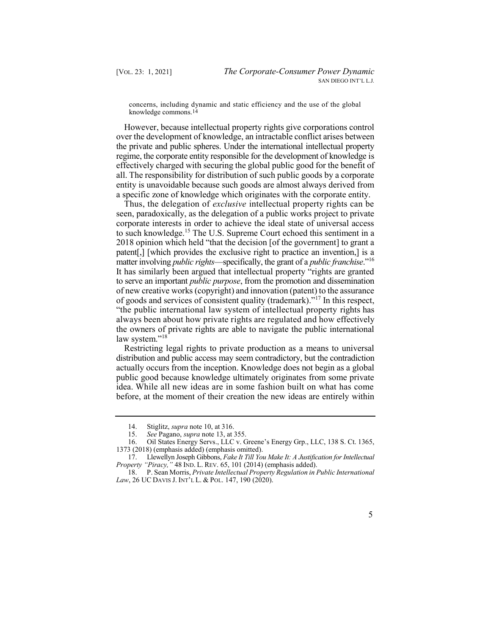concerns, including dynamic and static efficiency and the use of the global knowledge [commons.14](https://commons.14) 

 However, because intellectual property rights give corporations control over the development of knowledge, an intractable conflict arises between the private and public spheres. Under the international intellectual property regime, the corporate entity responsible for the development of knowledge is effectively charged with securing the global public good for the benefit of all. The responsibility for distribution of such public goods by a corporate entity is unavoidable because such goods are almost always derived from a specific zone of knowledge which originates with the corporate entity.

 Thus, the delegation of *exclusive* intellectual property rights can be matter involving *public rights*—specifically, the grant of a *public franchise*."<sup>16</sup> It has similarly been argued that intellectual property "rights are granted of goods and services of consistent quality (trademark)."<sup>17</sup> In this respect, seen, paradoxically, as the delegation of a public works project to private corporate interests in order to achieve the ideal state of universal access to such [knowledge.15](https://knowledge.15) The U.S. Supreme Court echoed this sentiment in a 2018 opinion which held "that the decision [of the government] to grant a patent[,] [which provides the exclusive right to practice an invention,] is a to serve an important *public purpose*, from the promotion and dissemination of new creative works (copyright) and innovation (patent) to the assurance "the public international law system of intellectual property rights has always been about how private rights are regulated and how effectively the owners of private rights are able to navigate the public international law system."<sup>18</sup>

 Restricting legal rights to private production as a means to universal actually occurs from the inception. Knowledge does not begin as a global public good because knowledge ultimately originates from some private idea. While all new ideas are in some fashion built on what has come before, at the moment of their creation the new ideas are entirely within distribution and public access may seem contradictory, but the contradiction

 18. P. Sean Morris, *Private Intellectual Property Regulation in Public International Law*, 26 UC DAVIS J. INT'L L. & POL. 147, 190 (2020).



<sup>14.</sup> Stiglitz, *supra* note 10, at 316.

<sup>15.</sup> *See* Pagano, *supra* note 13, at 355.

 16. Oil States Energy Servs., LLC v. Greene's Energy Grp., LLC, 138 S. Ct. 1365, 1373 (2018) (emphasis added) (emphasis omitted).

 17. Llewellyn Joseph Gibbons, *Fake It Till You Make It: A Justification for Intellectual Property "Piracy,"* 48 IND. L. REV. 65, 101 (2014) (emphasis added).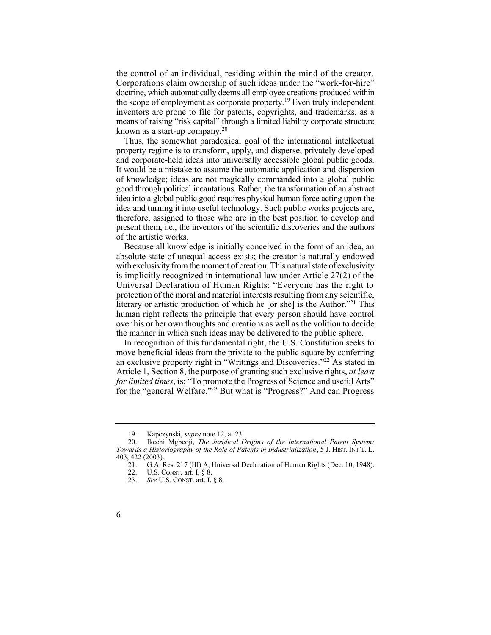the control of an individual, residing within the mind of the creator. means of raising "risk capital" through a limited liability corporate structure known as a start-up company.<sup>20</sup> Corporations claim ownership of such ideas under the "work-for-hire" doctrine, which automatically deems all employee creations produced within the scope of employment as corporate property.<sup>19</sup> Even truly independent inventors are prone to file for patents, copyrights, and trademarks, as a

 Thus, the somewhat paradoxical goal of the international intellectual property regime is to transform, apply, and disperse, privately developed of knowledge; ideas are not magically commanded into a global public good through political incantations. Rather, the transformation of an abstract idea into a global public good requires physical human force acting upon the idea and turning it into useful technology. Such public works projects are, therefore, assigned to those who are in the best position to develop and present them, i.e., the inventors of the scientific discoveries and the authors and corporate-held ideas into universally accessible global public goods. It would be a mistake to assume the automatic application and dispersion of the artistic works.

 Because all knowledge is initially conceived in the form of an idea, an absolute state of unequal access exists; the creator is naturally endowed with exclusivity from the moment of creation. This natural state of exclusivity is implicitly recognized in international law under Article 27(2) of the literary or artistic production of which he [or she] is the Author."<sup>21</sup> This Universal Declaration of Human Rights: "Everyone has the right to protection of the moral and material interests resulting from any scientific, human right reflects the principle that every person should have control over his or her own thoughts and creations as well as the volition to decide the manner in which such ideas may be delivered to the public sphere.

 In recognition of this fundamental right, the U.S. Constitution seeks to an exclusive property right in "Writings and Discoveries."<sup>22</sup> As stated in for the "general Welfare."<sup>23</sup> But what is "Progress?" And can Progress move beneficial ideas from the private to the public square by conferring Article 1, Section 8, the purpose of granting such exclusive rights, *at least for limited times*, is: "To promote the Progress of Science and useful Arts"

<sup>19.</sup> Kapczynski, *supra* note 12, at 23.

Ikechi Mgbeoji, *The Juridical Origins of the International Patent System: Towards a Historiography of the Role of Patents in Industrialization*, 5 J. HIST. INT'L. L. 403, 422 (2003).<br>21. G.A. F

 21. G.A. Res. 217 (III) A, Universal Declaration of Human Rights (Dec. 10, 1948).

 22. U.S. CONST. art. I, § 8.

 23. *See* U.S. CONST. art. I, § 8.

<sup>6</sup>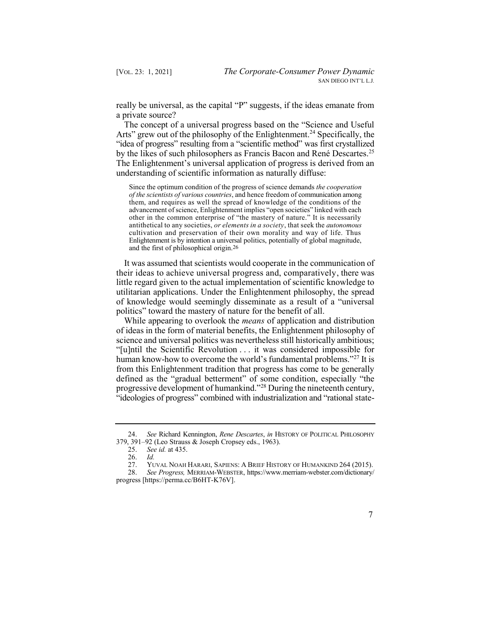really be universal, as the capital "P" suggests, if the ideas emanate from a private source?

Arts" grew out of the philosophy of the [Enlightenment.](https://Enlightenment.24)<sup>24</sup> Specifically, the understanding of scientific information as naturally diffuse: The concept of a universal progress based on the "Science and Useful "idea of progress" resulting from a "scientific method" was first crystallized by the likes of such philosophers as Francis Bacon and René Descartes.<sup>25</sup> The Enlightenment's universal application of progress is derived from an

 Since the optimum condition of the progress of science demands *the cooperation of the scientists of various countries*, and hence freedom of communication among them, and requires as well the spread of knowledge of the conditions of the advancement of science, Enlightenment implies "open societies" linked with each other in the common enterprise of "the mastery of nature." It is necessarily antithetical to any societies, *or elements in a society*, that seek the *autonomous*  and the first of philosophical [origin.26](https://origin.26) cultivation and preservation of their own morality and way of life. Thus Enlightenment is by intention a universal politics, potentially of global magnitude,

 It was assumed that scientists would cooperate in the communication of their ideas to achieve universal progress and, comparatively, there was little regard given to the actual implementation of scientific knowledge to of knowledge would seemingly disseminate as a result of a "universal utilitarian applications. Under the Enlightenment philosophy, the spread politics" toward the mastery of nature for the benefit of all.

 While appearing to overlook the *means* of application and distribution of ideas in the form of material benefits, the Enlightenment philosophy of human know-how to overcome the world's fundamental problems."<sup>27</sup> It is progressive development of humankind."<sup>28</sup> During the nineteenth century, "ideologies of progress" combined with industrialization and "rational statescience and universal politics was nevertheless still historically ambitious; "[u]ntil the Scientific Revolution . . . it was considered impossible for from this Enlightenment tradition that progress has come to be generally defined as the "gradual betterment" of some condition, especially "the

 28. *See Progress,* MERRIAM-WEBSTER, [https://www.merriam-webster.com/dictionary/](https://www.merriam-webster.com/dictionary) progress [<https://perma.cc/B6HT-K76V>].



 24. *See* Richard Kennington, *Rene Descartes*, *in* HISTORY OF POLITICAL PHILOSOPHY 379, 391–92 (Leo Strauss & Joseph Cropsey eds., 1963).<br>25. See id. at 435.

<sup>25.</sup> *See id.* at 435.

<sup>26.</sup> *Id.* 

YUVAL NOAH HARARI, SAPIENS: A BRIEF HISTORY OF HUMANKIND 264 (2015).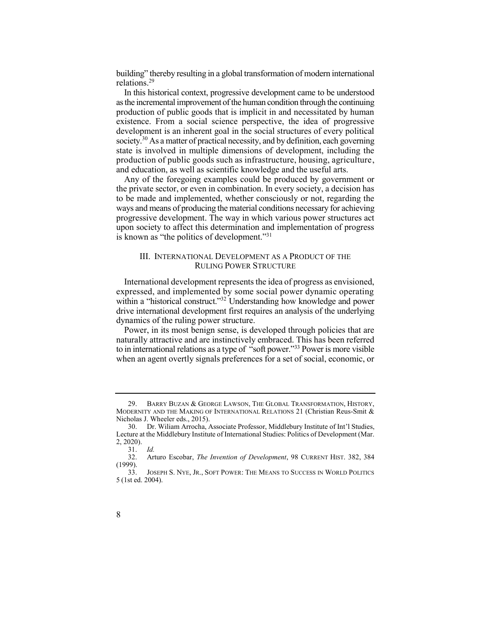building" thereby resulting in a global transformation of modern international [relations.29](https://relations.29) 

 as the incremental improvement of the human condition through the continuing production of public goods that is implicit in and necessitated by human existence. From a social science perspective, the idea of progressive development is an inherent goal in the social structures of every political society.<sup>30</sup> As a matter of practical necessity, and by definition, each governing In this historical context, progressive development came to be understood state is involved in multiple dimensions of development, including the production of public goods such as infrastructure, housing, agriculture, and education, as well as scientific knowledge and the useful arts.

 Any of the foregoing examples could be produced by government or to be made and implemented, whether consciously or not, regarding the ways and means of producing the material conditions necessary for achieving progressive development. The way in which various power structures act upon society to affect this determination and implementation of progress the private sector, or even in combination. In every society, a decision has is known as "the politics of development."<sup>31</sup>

#### III. INTERNATIONAL DEVELOPMENT AS A PRODUCT OF THE RULING POWER STRUCTURE

 International development represents the idea of progress as envisioned, within a "historical construct."<sup>32</sup> Understanding how knowledge and power expressed, and implemented by some social power dynamic operating drive international development first requires an analysis of the underlying dynamics of the ruling power structure.

 Power, in its most benign sense, is developed through policies that are to in international relations as a type of "soft power."<sup>33</sup> Power is more visible naturally attractive and are instinctively embraced. This has been referred when an agent overtly signals preferences for a set of social, economic, or

<sup>33.</sup> JOSEPH S. NYE, JR., SOFT POWER: THE MEANS TO SUCCESS IN WORLD POLITICS 5 (1st ed. 2004).



<sup>29.</sup> BARRY BUZAN & GEORGE LAWSON, THE GLOBAL TRANSFORMATION, HISTORY, MODERNITY AND THE MAKING OF INTERNATIONAL RELATIONS 21 (Christian Reus-Smit & Nicholas J. Wheeler eds., 2015).

 30. Dr. Wiliam Arrocha, Associate Professor, Middlebury Institute of Int'l Studies, Lecture at the Middlebury Institute of International Studies: Politics of Development (Mar. 2, 2020).

<sup>31.</sup> *Id.* 

 32. Arturo Escobar, *The Invention of Development*, 98 CURRENT HIST. 382, 384 (1999).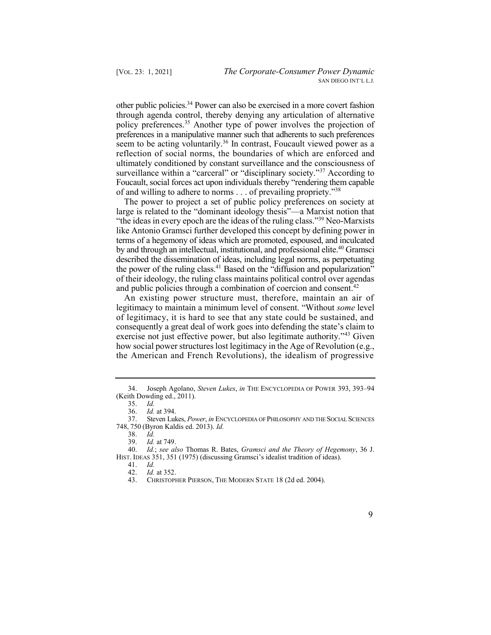other public [policies.34](https://policies.34) Power can also be exercised in a more covert fashion policy preferences.<sup>35</sup> Another type of power involves the projection of seem to be acting voluntarily.<sup>36</sup> In contrast, Foucault viewed power as a surveillance within a "carceral" or "disciplinary society."<sup>37</sup> According to through agenda control, thereby denying any articulation of alternative preferences in a manipulative manner such that adherents to such preferences reflection of social norms, the boundaries of which are enforced and ultimately conditioned by constant surveillance and the consciousness of Foucault, social forces act upon individuals thereby "rendering them capable of and willing to adhere to norms . . . of prevailing propriety."<sup>38</sup>

 The power to project a set of public policy preferences on society at "the ideas in every epoch are the ideas of the ruling class."<sup>39</sup> Neo-Marxists by and through an intellectual, institutional, and professional [elite.](https://elite.40) 40 Gramsci the power of the ruling class.<sup>41</sup> Based on the "diffusion and popularization" large is related to the "dominant ideology thesis"—a Marxist notion that like Antonio Gramsci further developed this concept by defining power in terms of a hegemony of ideas which are promoted, espoused, and inculcated described the dissemination of ideas, including legal norms, as perpetuating of their ideology, the ruling class maintains political control over agendas and public policies through a combination of coercion and consent.<sup>42</sup>

 An existing power structure must, therefore, maintain an air of exercise not just effective power, but also legitimate authority."<sup>43</sup> Given legitimacy to maintain a minimum level of consent. "Without *some* level of legitimacy, it is hard to see that any state could be sustained, and consequently a great deal of work goes into defending the state's claim to how social power structures lost legitimacy in the Age of Revolution (e.g., the American and French Revolutions), the idealism of progressive



 34. Joseph Agolano, *Steven Lukes*, *in* THE ENCYCLOPEDIA OF POWER 393, 393–94 (Keith Dowding ed., 2011).

<sup>35.</sup> *Id.* 

<sup>36.</sup> *Id.* at 394.

 37. Steven Lukes, *Power*, *in* ENCYCLOPEDIA OF PHILOSOPHY AND THE SOCIAL SCIENCES 748, 750 (Byron Kaldis ed. 2013). *Id.* 

<sup>38.</sup> *Id.* 

<sup>39.</sup> *Id.* at 749.<br>40. *Id.*; see al.

 40. *Id.*; *see also* Thomas R. Bates, *Gramsci and the Theory of Hegemony*, 36 J. HIST. IDEAS 351, 351 (1975) (discussing Gramsci's idealist tradition of ideas).<br>41. *Id.* 

<sup>41.</sup> *Id.* 

<sup>42.</sup> *Id.* at 352.

 43. CHRISTOPHER PIERSON, THE MODERN STATE 18 (2d ed. 2004).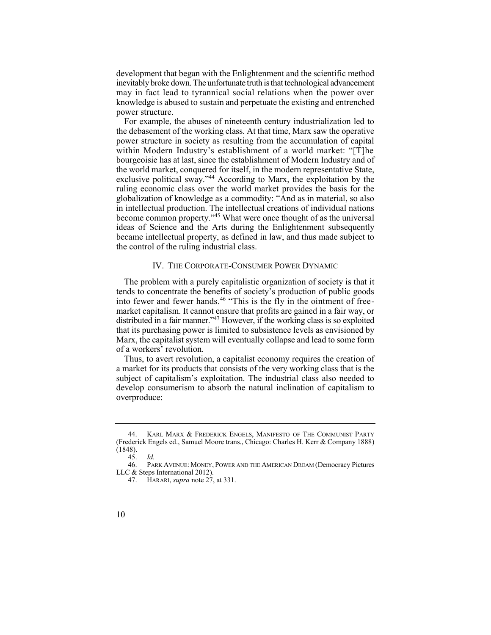development that began with the Enlightenment and the scientific method inevitably broke down. The unfortunate truth is that technological advancement may in fact lead to tyrannical social relations when the power over knowledge is abused to sustain and perpetuate the existing and entrenched power structure.

 the debasement of the working class. At that time, Marx saw the operative exclusive political sway."<sup>44</sup> According to Marx, the exploitation by the become common property."<sup>45</sup> What were once thought of as the universal For example, the abuses of nineteenth century industrialization led to power structure in society as resulting from the accumulation of capital within Modern Industry's establishment of a world market: "[T]he bourgeoisie has at last, since the establishment of Modern Industry and of the world market, conquered for itself, in the modern representative State, ruling economic class over the world market provides the basis for the globalization of knowledge as a commodity: "And as in material, so also in intellectual production. The intellectual creations of individual nations ideas of Science and the Arts during the Enlightenment subsequently became intellectual property, as defined in law, and thus made subject to the control of the ruling industrial class.

#### IV. THE CORPORATE-CONSUMER POWER DYNAMIC

 The problem with a purely capitalistic organization of society is that it into fewer and fewer hands.<sup>46</sup> "This is the fly in the ointment of freedistributed in a fair manner."<sup>47</sup> However, if the working class is so exploited tends to concentrate the benefits of society's production of public goods market capitalism. It cannot ensure that profits are gained in a fair way, or that its purchasing power is limited to subsistence levels as envisioned by Marx, the capitalist system will eventually collapse and lead to some form of a workers' revolution.

 Thus, to avert revolution, a capitalist economy requires the creation of a market for its products that consists of the very working class that is the subject of capitalism's exploitation. The industrial class also needed to develop consumerism to absorb the natural inclination of capitalism to overproduce:

KARL MARX & FREDERICK ENGELS, MANIFESTO OF THE COMMUNIST PARTY (Frederick Engels ed., Samuel Moore trans., Chicago: Charles H. Kerr & Company 1888) (1848).

 46. PARK AVENUE: MONEY, POWER AND THE AMERICAN DREAM (Democracy Pictures 45. *Id.*  LLC & Steps International 2012).

<sup>47.</sup> HARARI, *supra* note 27, at 331.

<sup>10</sup>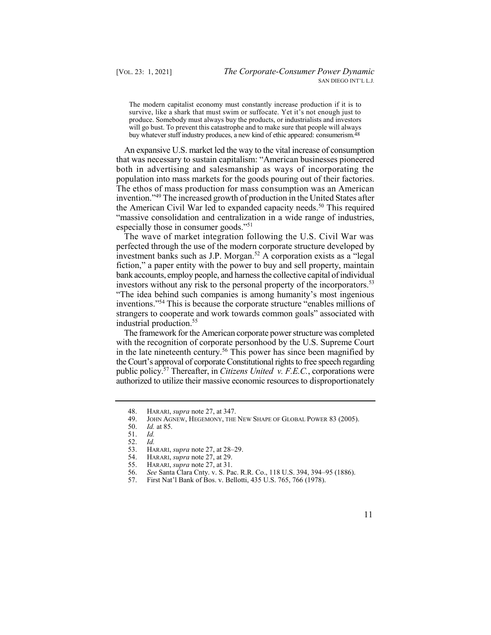The modern capitalist economy must constantly increase production if it is to survive, like a shark that must swim or suffocate. Yet it's not enough just to produce. Somebody must always buy the products, or industrialists and investors buy whatever stuff industry produces, a new kind of ethic appeared: [consumerism.48](https://consumerism.48) will go bust. To prevent this catastrophe and to make sure that people will always

 An expansive U.S. market led the way to the vital increase of consumption that was necessary to sustain capitalism: "American businesses pioneered both in advertising and salesmanship as ways of incorporating the the American Civil War led to expanded capacity needs.<sup>50</sup> This required "massive consolidation and centralization in a wide range of industries, population into mass markets for the goods pouring out of their factories. The ethos of mass production for mass consumption was an American invention."49 The increased growth of production in the United States after especially those in consumer goods."<sup>51</sup>

 The wave of market integration following the U.S. Civil War was investors without any risk to the personal property of the incorporators.<sup>53</sup> perfected through the use of the modern corporate structure developed by investment banks such as J.P. Morgan.<sup>52</sup> A corporation exists as a "legal" fiction," a paper entity with the power to buy and sell property, maintain bank accounts, employ people, and harness the collective capital of individual "The idea behind such companies is among humanity's most ingenious inventions."<sup>54</sup>This is because the corporate structure "enables millions of strangers to cooperate and work towards common goals" associated with industrial [production.55](https://production.55) 

 The framework for the American corporate power structure was completed in the late nineteenth century.<sup>56</sup> This power has since been magnified by public [policy.57](https://policy.57) Thereafter, in *Citizens United v. F.E.C.*, corporations were with the recognition of corporate personhood by the U.S. Supreme Court the Court's approval of corporate Constitutional rights to free speech regarding authorized to utilize their massive economic resources to disproportionately

- 55. HARARI, *supra* note 27, at 31.
- 56. *See* Santa Clara Cnty. v. S. Pac. R.R. Co., 118 U.S. 394, 394–95 (1886).
- 57. First Nat'l Bank of Bos. v. Bellotti, 435 U.S. 765, 766 (1978).

11

<sup>48.</sup> HARARI, *supra* note 27, at 347.<br>49. JOHN AGNEW, HEGEMONY, THE

 49. JOHN AGNEW, HEGEMONY, THE NEW SHAPE OF GLOBAL POWER 83 (2005).

<sup>50.</sup> *Id.* at 85.

<sup>51.</sup> *Id.* 

<sup>52.</sup> *Id.* 

<sup>53.</sup> HARARI, *supra* note 27, at 28–29.<br>54. HARARI, *supra* note 27, at 29.

<sup>54.</sup> HARARI, *supra* note 27, at 29.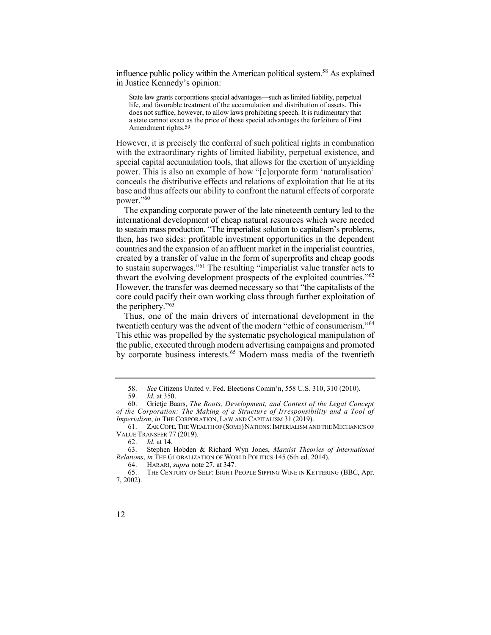influence public policy within the American political system.<sup>58</sup> As explained in Justice Kennedy's opinion:

 State law grants corporations special advantages—such as limited liability, perpetual life, and favorable treatment of the accumulation and distribution of assets. This does not suffice, however, to allow laws prohibiting speech. It is rudimentary that a state cannot exact as the price of those special advantages the forfeiture of First Amendment [rights.59](https://rights.59)

 However, it is precisely the conferral of such political rights in combination with the extraordinary rights of limited liability, perpetual existence, and special capital accumulation tools, that allows for the exertion of unyielding power. This is also an example of how "[c]orporate form 'naturalisation' base and thus affects our ability to confront the natural effects of corporate conceals the distributive effects and relations of exploitation that lie at its power."<sup>60</sup>

 The expanding corporate power of the late nineteenth century led to the to sustain mass production. "The imperialist solution to capitalism's problems, thwart the evolving development prospects of the exploited countries."<sup>62</sup> However, the transfer was deemed necessary so that "the capitalists of the core could pacify their own working class through further exploitation of international development of cheap natural resources which were needed then, has two sides: profitable investment opportunities in the dependent countries and the expansion of an affluent market in the imperialist countries, created by a transfer of value in the form of superprofits and cheap goods to sustain superwages."<sup>61</sup> The resulting "imperialist value transfer acts to the periphery."<sup>63</sup>

 Thus, one of the main drivers of international development in the twentieth century was the advent of the modern "ethic of consumerism."<sup>64</sup> This ethic was propelled by the systematic psychological manipulation of by corporate business interests.<sup>65</sup> Modern mass media of the twentieth the public, executed through modern advertising campaigns and promoted

64. HARARI, *supra* note 27, at 347.

 58. *See* Citizens United v. Fed. Elections Comm'n, 558 U.S. 310, 310 (2010).

<sup>59.</sup> *Id.* at 350.

 60. Grietje Baars, *The Roots, Development, and Context of the Legal Concept of the Corporation: The Making of a Structure of Irresponsibility and a Tool of Imperialism*, *in* THE CORPORATION, LAW AND CAPITALISM 31 (2019).

 61. ZAK COPE,THE WEALTH OF (SOME)NATIONS:IMPERIALISM AND THE MECHANICS OF VALUE TRANSFER 77 (2019).

<sup>62.</sup> *Id.* at 14.

 63. Stephen Hobden & Richard Wyn Jones, *Marxist Theories of International Relations*, *in* THE GLOBALIZATION OF WORLD POLITICS 145 (6th ed. 2014).

<sup>65.</sup> THE CENTURY OF SELF: EIGHT PEOPLE SIPPING WINE IN KETTERING (BBC, Apr. 7, 2002).

<sup>12</sup>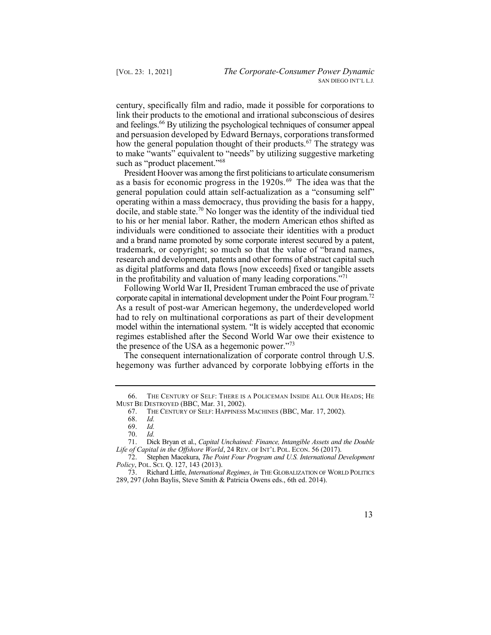century, specifically film and radio, made it possible for corporations to link their products to the emotional and irrational subconscious of desires and feelings.<sup>66</sup> By utilizing the psychological techniques of consumer appeal how the general population thought of their products.<sup>67</sup> The strategy was and persuasion developed by Edward Bernays, corporations transformed to make "wants" equivalent to "needs" by utilizing suggestive marketing such as "product placement."<sup>68</sup>

as a basis for economic progress in the 1920s.<sup>69</sup> The idea was that the docile, and stable state.<sup>70</sup> No longer was the identity of the individual tied research and development, patents and other forms of abstract capital such President Hoover was among the first politicians to articulate consumerism general population could attain self-actualization as a "consuming self" operating within a mass democracy, thus providing the basis for a happy, to his or her menial labor. Rather, the modern American ethos shifted as individuals were conditioned to associate their identities with a product and a brand name promoted by some corporate interest secured by a patent, trademark, or copyright; so much so that the value of "brand names, as digital platforms and data flows [now exceeds] fixed or tangible assets in the profitability and valuation of many leading corporations. $171$ 

 Following World War II, President Truman embraced the use of private corporate capital in international development under the Point Four program.<sup>72</sup> As a result of post-war American hegemony, the underdeveloped world had to rely on multinational corporations as part of their development model within the international system. "It is widely accepted that economic regimes established after the Second World War owe their existence to the presence of the USA as a hegemonic power."<sup>73</sup>

 The consequent internationalization of corporate control through U.S. hegemony was further advanced by corporate lobbying efforts in the

 73. Richard Little, *International Regimes*, *in* THE GLOBALIZATION OF WORLD POLITICS 289, 297 (John Baylis, Steve Smith & Patricia Owens eds., 6th ed. 2014).



 66. THE CENTURY OF SELF: THERE IS A POLICEMAN INSIDE ALL OUR HEADS; HE MUST BE DESTROYED (BBC, Mar. 31, 2002).

 67. THE CENTURY OF SELF: HAPPINESS MACHINES (BBC, Mar. 17, 2002).

<sup>68.</sup> *Id.* 

<sup>69.</sup> *Id.* 

<sup>70.</sup> *Id.* 

 71. Dick Bryan et al., *Capital Unchained: Finance, Intangible Assets and the Double Life of Capital in the Offshore World*, 24 REV. OF INT'L POL. ECON. 56 (2017).

 72. Stephen Macekura, *The Point Four Program and U.S. International Development Policy*, POL. SCI. Q. 127, 143 (2013).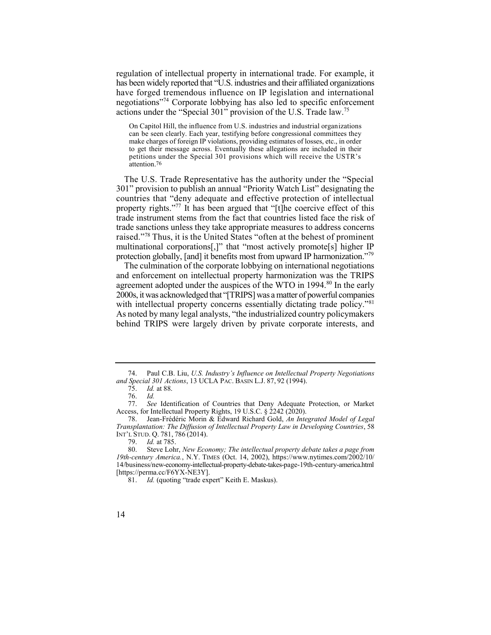regulation of intellectual property in international trade. For example, it has been widely reported that "U.S. industries and their affiliated organizations have forged tremendous influence on IP legislation and international negotiations"74 Corporate lobbying has also led to specific enforcement actions under the "Special 301" provision of the U.S. Trade law.<sup>75</sup>

 On Capitol Hill, the influence from U.S. industries and industrial organizations can be seen clearly. Each year, testifying before congressional committees they make charges of foreign IP violations, providing estimates of losses, etc., in order to get their message across. Eventually these allegations are included in their petitions under the Special 301 provisions which will receive the USTR's [attention.76](https://attention.76) 

 The U.S. Trade Representative has the authority under the "Special property rights."<sup>77</sup> It has been argued that "[t]he coercive effect of this raised."<sup>78</sup> Thus, it is the United States "often at the behest of prominent protection globally, [and] it benefits most from upward IP harmonization."<sup>79</sup> 301" provision to publish an annual "Priority Watch List" designating the countries that "deny adequate and effective protection of intellectual trade instrument stems from the fact that countries listed face the risk of trade sanctions unless they take appropriate measures to address concerns multinational corporations[,]" that "most actively promote[s] higher IP

 The culmination of the corporate lobbying on international negotiations with intellectual property concerns essentially dictating trade policy."<sup>81</sup> As noted by many legal analysts, "the industrialized country policymakers behind TRIPS were largely driven by private corporate interests, and and enforcement on intellectual property harmonization was the TRIPS agreement adopted under the auspices of the WTO in 1994.<sup>80</sup> In the early 2000s, it was acknowledged that "[TRIPS] was amatter of powerful companies

 74. Paul C.B. Liu, *U.S. Industry's Influence on Intellectual Property Negotiations and Special 301 Actions*, 13 UCLA PAC. BASIN L.J. 87, 92 (1994).

<sup>75.</sup> *Id.* at 88.

<sup>76.</sup> *Id.* 

 77. *See* Identification of Countries that Deny Adequate Protection, or Market Access, for Intellectual Property Rights, 19 U.S.C. § 2242 (2020).<br>78 Lean-Frédéric Morin & Edward Richard Gold An Inte

 78. Jean-Frédéric Morin & Edward Richard Gold, *An Integrated Model of Legal Transplantation: The Diffusion of Intellectual Property Law in Developing Countries*, 58 INT'L STUD. Q. 781, 786 (2014).<br>79. Id. at 785.

<sup>79.</sup> *Id.* at 785.

 80. Steve Lohr, *New Economy; The intellectual property debate takes a page from 19th-century America.*, N.Y. TIMES (Oct. 14, 2002), [https://www.nytimes.com/2002/10/](https://www.nytimes.com/2002/10) 14/business/new-economy-intellectual-property-debate-takes-page-19th-century-america.html [[https://perma.cc/F6YX-NE3Y\]](https://perma.cc/F6YX-NE3Y).

 81. *Id.* (quoting "trade expert" Keith E. Maskus).

<sup>14</sup>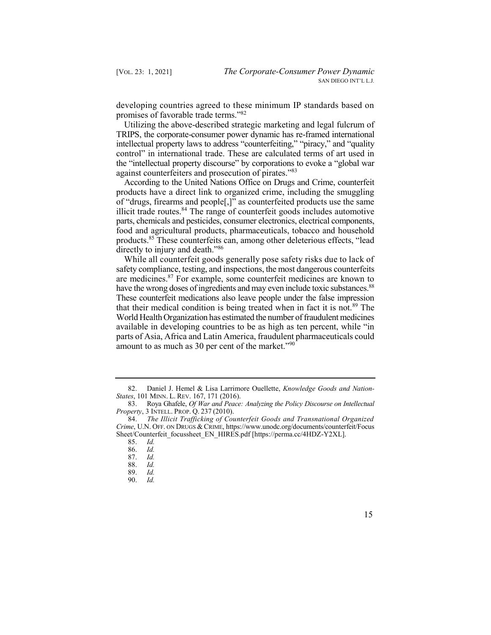developing countries agreed to these minimum IP standards based on promises of favorable trade terms."<sup>82</sup>

 Utilizing the above-described strategic marketing and legal fulcrum of TRIPS, the corporate-consumer power dynamic has re-framed international control" in international trade. These are calculated terms of art used in the "intellectual property discourse" by corporations to evoke a "global war intellectual property laws to address "counterfeiting," "piracy," and "quality against counterfeiters and prosecution of pirates."<sup>83</sup>

 According to the United Nations Office on Drugs and Crime, counterfeit illicit trade routes.<sup>84</sup> The range of counterfeit goods includes automotive products have a direct link to organized crime, including the smuggling of "drugs, firearms and people[,]" as counterfeited products use the same parts, chemicals and pesticides, consumer electronics, electrical components, food and agricultural products, pharmaceuticals, tobacco and household [products.85](https://products.85) These counterfeits can, among other deleterious effects, "lead directly to injury and death."<sup>86</sup>

 While all counterfeit goods generally pose safety risks due to lack of have the wrong doses of ingredients and may even include toxic substances.<sup>88</sup> that their medical condition is being treated when in fact it is not.<sup>89</sup> The safety compliance, testing, and inspections, the most dangerous counterfeits are [medicines.87](https://medicines.87) For example, some counterfeit medicines are known to These counterfeit medications also leave people under the false impression World Health Organization has estimated the number of fraudulent medicines available in developing countries to be as high as ten percent, while "in parts of Asia, Africa and Latin America, fraudulent pharmaceuticals could amount to as much as 30 per cent of the market."<sup>90</sup>

86. *Id.* 

 82. Daniel J. Hemel & Lisa Larrimore Ouellette, *Knowledge Goods and Nation-States*, 101 MINN. L. REV. 167, 171 (2016).

 83. Roya Ghafele, *Of War and Peace: Analyzing the Policy Discourse on Intellectual Property*, 3 INTELL. PROP. Q. 237 (2010).

<sup>84.</sup> *The Illicit Trafficking of Counterfeit Goods and Transnational Organized Crime*, U.N. OFF. ON DRUGS & CRIME, <https://www.unodc.org/documents/counterfeit/Focus> Sheet/Counterfeit\_focussheet\_EN\_HIRES.pdf [\[https://perma.cc/4HDZ-Y2XL\]](https://perma.cc/4HDZ-Y2XL).

<sup>85.</sup> *Id.* 

<sup>87.</sup> *Id.* 

<sup>88.</sup> *Id.* 

<sup>89.</sup> *Id.* 

<sup>90.</sup> *Id.* 

<sup>15</sup>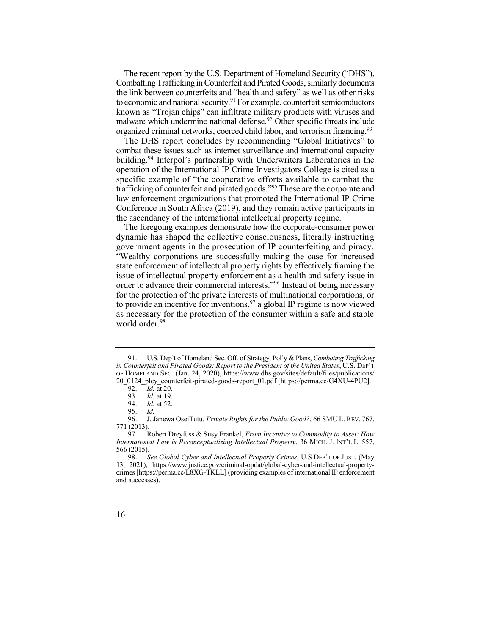The recent report by the U.S. Department of Homeland Security ("DHS"), Combatting Trafficking in Counterfeit and Pirated Goods, similarly documents the link between counterfeits and "health and safety" as well as other risks to economic and national security.<sup>91</sup> For example, counterfeit semiconductors malware which undermine national defense.<sup>92</sup> Other specific threats include organized criminal networks, coerced child labor, and terrorism financing.<sup>93</sup> known as "Trojan chips" can infiltrate military products with viruses and

 The DHS report concludes by recommending "Global Initiatives" to building.<sup>94</sup> Interpol's partnership with Underwriters Laboratories in the trafficking of counterfeit and pirated goods."<sup>95</sup> These are the corporate and combat these issues such as internet surveillance and international capacity operation of the International IP Crime Investigators College is cited as a specific example of "the cooperative efforts available to combat the law enforcement organizations that promoted the International IP Crime Conference in South Africa (2019), and they remain active participants in the ascendancy of the international intellectual property regime.

 The foregoing examples demonstrate how the corporate-consumer power dynamic has shaped the collective consciousness, literally instructing government agents in the prosecution of IP counterfeiting and piracy. order to advance their commercial interests."<sup>96</sup> Instead of being necessary "Wealthy corporations are successfully making the case for increased state enforcement of intellectual property rights by effectively framing the issue of intellectual property enforcement as a health and safety issue in for the protection of the private interests of multinational corporations, or to provide an incentive for inventions,  $97$  a global IP regime is now viewed as necessary for the protection of the consumer within a safe and stable world order.<sup>98</sup>

 91. U.S. Dep't of Homeland Sec. Off. of Strategy, Pol'y & Plans, *Combating Trafficking*  OF HOMELAND SEC. (Jan. 24, 2020), [https://www.dhs.gov/sites/default/files/publications/](https://www.dhs.gov/sites/default/files/publications) *in Counterfeit and Pirated Goods: Report to the President of the United States*, U.S. DEP'T 20\_0124\_plcy\_counterfeit-pirated-goods-report\_01.pdf [[https://perma.cc/G4XU-4PU2\]](https://perma.cc/G4XU-4PU2).

<sup>92.</sup> *Id.* at 20.<br>93. *Id.* at 19.

<sup>93.</sup> *Id.* at 19.<br>94. *Id.* at 52.

*Id.* at 52.

<sup>95.</sup> *Id.* 

 96. J. Janewa OseiTutu, *Private Rights for the Public Good?*, 66 SMU L. REV. 767, 771 (2013).

 97. Robert Dreyfuss & Susy Frankel, *From Incentive to Commodity to Asset: How International Law is Reconceptualizing Intellectual Property*, 36 MICH. J. INT'L L. 557, 566 (2015).

 crimes [\[https://perma.cc/L8XG-TKLL\]](https://perma.cc/L8XG-TKLL) (providing examples of international IP enforcement 98. *See Global Cyber and Intellectual Property Crimes*, U.S DEP'T OF JUST. (May 13, 2021), <https://www.justice.gov/criminal-opdat/global-cyber-and-intellectual-property>and successes).

<sup>16</sup>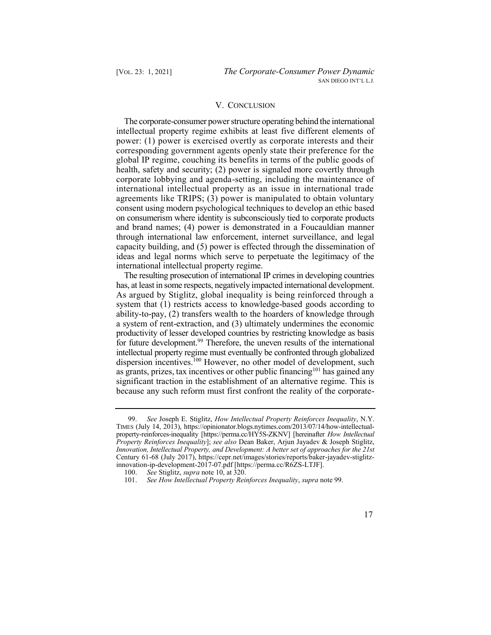## V. CONCLUSION

 The corporate-consumer power structure operating behind the international intellectual property regime exhibits at least five different elements of power: (1) power is exercised overtly as corporate interests and their corresponding government agents openly state their preference for the global IP regime, couching its benefits in terms of the public goods of health, safety and security; (2) power is signaled more covertly through corporate lobbying and agenda-setting, including the maintenance of international intellectual property as an issue in international trade agreements like TRIPS; (3) power is manipulated to obtain voluntary consent using modern psychological techniques to develop an ethic based on consumerism where identity is subconsciously tied to corporate products and brand names; (4) power is demonstrated in a Foucauldian manner capacity building, and (5) power is effected through the dissemination of ideas and legal norms which serve to perpetuate the legitimacy of the through international law enforcement, internet surveillance, and legal international intellectual property regime.

 The resulting prosecution of international IP crimes in developing countries has, at least in some respects, negatively impacted international development. As argued by Stiglitz, global inequality is being reinforced through a system that (1) restricts access to knowledge-based goods according to for future development.<sup>99</sup> Therefore, the uneven results of the international as grants, prizes, tax incentives or other public financing<sup>101</sup> has gained any because any such reform must first confront the reality of the corporateability-to-pay, (2) transfers wealth to the hoarders of knowledge through a system of rent-extraction, and (3) ultimately undermines the economic productivity of lesser developed countries by restricting knowledge as basis intellectual property regime must eventually be confronted through globalized dispersion incentives.<sup>100</sup> However, no other model of development, such significant traction in the establishment of an alternative regime. This is

 TIMES (July 14, 2013), [https://opinionator.blogs.nytimes.com/2013/07/14/how-intellectual-](https://opinionator.blogs.nytimes.com/2013/07/14/how-intellectual) property-reinforces-inequality [<https://perma.cc/HY5S-ZKNV>] [hereinafter *How Intellectual*  Century 61-68 (July 2017), [https://cepr.net/images/stories/reports/baker-jayadev-stiglitz-](https://cepr.net/images/stories/reports/baker-jayadev-stiglitz)99. *See* Joseph E. Stiglitz, *How Intellectual Property Reinforces Inequality*, N.Y. *Property Reinforces Inequality*]; *see also* Dean Baker, Arjun Jayadev & Joseph Stiglitz, *Innovation, Intellectual Property, and Development: A better set of approaches for the 21st*  innovation-ip-development-2017-07.pdf [\[https://perma.cc/R6ZS-LTJF](https://perma.cc/R6ZS-LTJF)].

<sup>100.</sup> *See* Stiglitz, *supra* note 10, at 320.

 101. *See How Intellectual Property Reinforces Inequality*, *supra* note 99.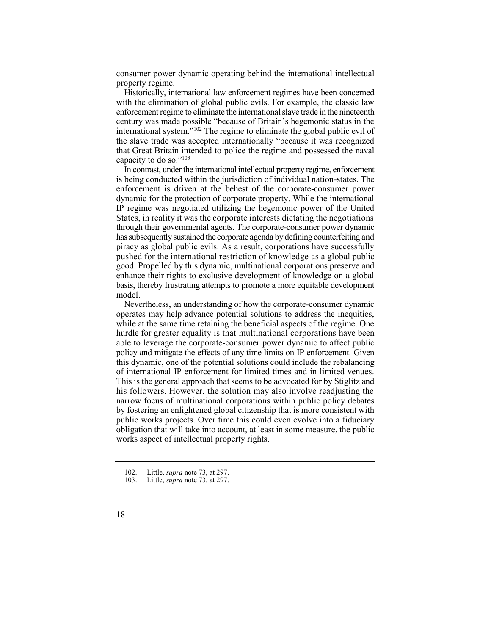consumer power dynamic operating behind the international intellectual property regime.

 Historically, international law enforcement regimes have been concerned with the elimination of global public evils. For example, the classic law international system."<sup>102</sup> The regime to eliminate the global public evil of enforcement regime to eliminate the international slave trade in the nineteenth century was made possible "because of Britain's hegemonic status in the the slave trade was accepted internationally "because it was recognized that Great Britain intended to police the regime and possessed the naval capacity to do so." $103$ 

 In contrast, under the international intellectual property regime, enforcement is being conducted within the jurisdiction of individual nation-states. The enforcement is driven at the behest of the corporate-consumer power IP regime was negotiated utilizing the hegemonic power of the United States, in reality it was the corporate interests dictating the negotiations through their governmental agents. The corporate-consumer power dynamic has subsequently sustained the corporate agenda by defining counterfeiting and piracy as global public evils. As a result, corporations have successfully pushed for the international restriction of knowledge as a global public good. Propelled by this dynamic, multinational corporations preserve and enhance their rights to exclusive development of knowledge on a global basis, thereby frustrating attempts to promote a more equitable development dynamic for the protection of corporate property. While the international model.

 Nevertheless, an understanding of how the corporate-consumer dynamic operates may help advance potential solutions to address the inequities, while at the same time retaining the beneficial aspects of the regime. One hurdle for greater equality is that multinational corporations have been able to leverage the corporate-consumer power dynamic to affect public policy and mitigate the effects of any time limits on IP enforcement. Given of international IP enforcement for limited times and in limited venues. This is the general approach that seems to be advocated for by Stiglitz and his followers. However, the solution may also involve readjusting the narrow focus of multinational corporations within public policy debates by fostering an enlightened global citizenship that is more consistent with public works projects. Over time this could even evolve into a fiduciary obligation that will take into account, at least in some measure, the public this dynamic, one of the potential solutions could include the rebalancing works aspect of intellectual property rights.

<sup>103.</sup> Little, *supra* note 73, at 297.



<sup>102.</sup> Little, *supra* note 73, at 297.